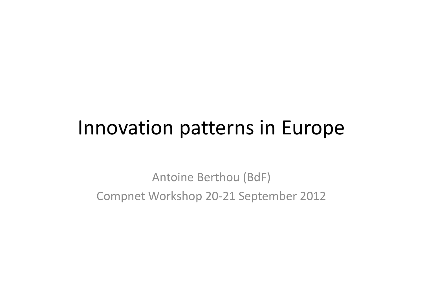# Innovation patterns in Europe

Antoine Berthou (BdF) Compnet Workshop 20‐21 September 2012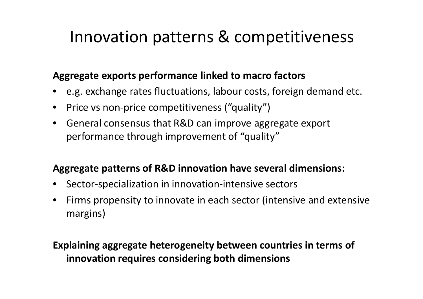# Innovation patterns & competitiveness

#### **Aggregate exports performance linked to macro factors**

- e.g. exchange rates fluctuations, labour costs, foreign demand etc.
- $\bullet$ ● Price vs non-price competitiveness ("quality")
- $\bullet$  General consensus that R&D can improve aggregate export performance through improvement of "quality"

### **Aggregate patterns of R&D innovation have several dimensions:**

- •Sector‐specialization in innovation‐intensive sectors
- $\bullet$  Firms propensity to innovate in each sector (intensive and extensive margins)

### **Explaining aggregate heterogeneity between countries in terms of innovation requires considering both dimensions**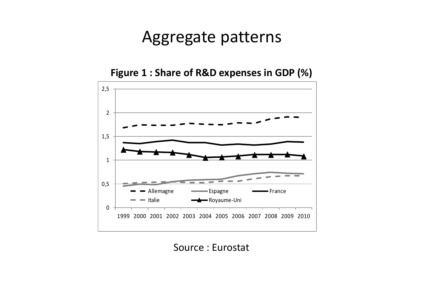## Aggregate patterns

**Figure 1 : Share of R&D expenses in GDP (%)**



Source : Eurostat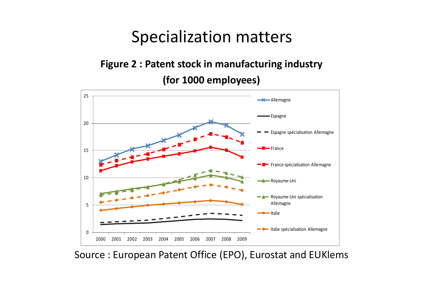## Specialization matters

## **Figure 2 : Patent stock in manufacturing industry (for 1000 employees)**



Source : European Patent Office (EPO), Eurostat and EUKlems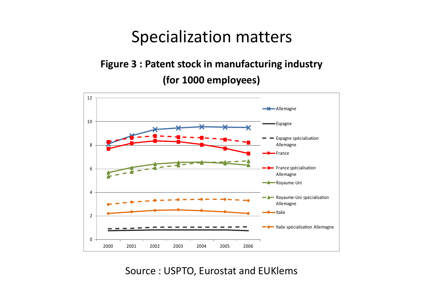## Specialization matters

### **Figure 3 : Patent stock in manufacturing industry (for 1000 employees)**



Source : USPTO, Eurostat and EUKlems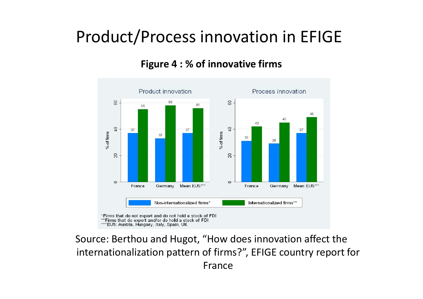# Product/Process innovation in EFIGE

**Figure 4 : % of innovative firms**



Source: Berthou and Hugot, "How does innovation affect the internationalization pattern of firms?", EFIGE country report for France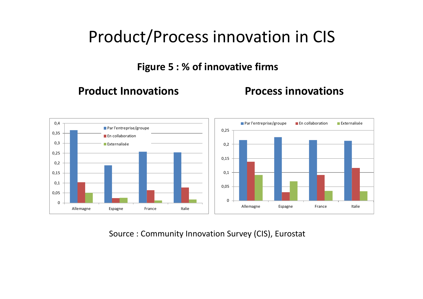# Product/Process innovation in CIS

**Figure 5 : % of innovative firms**

#### **Product**

**Innovations Process innovations**



Source : Community Innovation Survey (CIS), Eurostat